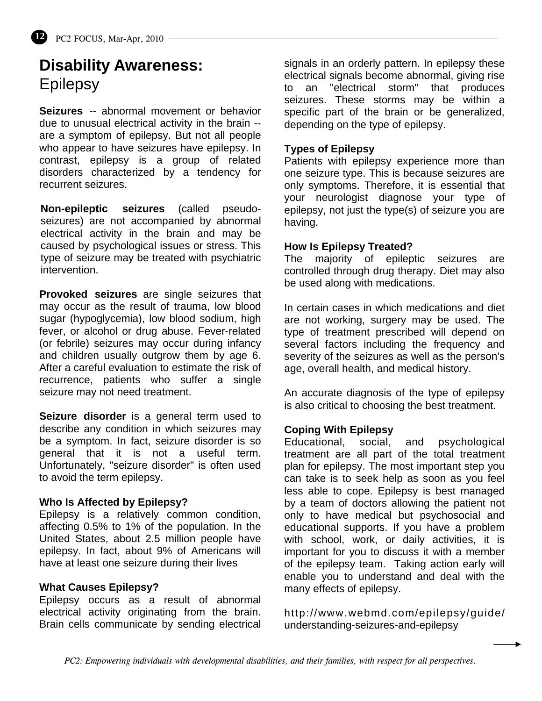# **Disability Awareness: Epilepsy**

**Seizures** -- abnormal movement or behavior due to unusual electrical activity in the brain - are a symptom of epilepsy. But not all people who appear to have seizures have epilepsy. In contrast, epilepsy is a group of related disorders characterized by a tendency for recurrent seizures.

**Non-epileptic seizures** (called pseudoseizures) are not accompanied by abnormal electrical activity in the brain and may be caused by psychological issues or stress. This type of seizure may be treated with psychiatric intervention.

**Provoked seizures** are single seizures that may occur as the result of trauma, low blood sugar (hypoglycemia), low blood sodium, high fever, or alcohol or drug abuse. Fever-related (or febrile) seizures may occur during infancy and children usually outgrow them by age 6. After a careful evaluation to estimate the risk of recurrence, patients who suffer a single seizure may not need treatment.

**Seizure disorder** is a general term used to describe any condition in which seizures may be a symptom. In fact, seizure disorder is so general that it is not a useful term. Unfortunately, "seizure disorder" is often used to avoid the term epilepsy.

### **Who Is Affected by Epilepsy?**

Epilepsy is a relatively common condition, affecting 0.5% to 1% of the population. In the United States, about 2.5 million people have epilepsy. In fact, about 9% of Americans will have at least one seizure during their lives

### **What Causes Epilepsy?**

Epilepsy occurs as a result of abnormal electrical activity originating from the brain. Brain cells communicate by sending electrical

signals in an orderly pattern. In epilepsy these electrical signals become abnormal, giving rise to an "electrical storm" that produces seizures. These storms may be within a specific part of the brain or be generalized, depending on the type of epilepsy.

## **Types of Epilepsy**

Patients with epilepsy experience more than one seizure type. This is because seizures are only symptoms. Therefore, it is essential that your neurologist diagnose your type of epilepsy, not just the type(s) of seizure you are having.

### **How Is Epilepsy Treated?**

The majority of epileptic seizures are controlled through drug therapy. Diet may also be used along with medications.

In certain cases in which medications and diet are not working, surgery may be used. The type of treatment prescribed will depend on several factors including the frequency and severity of the seizures as well as the person's age, overall health, and medical history.

An accurate diagnosis of the type of epilepsy is also critical to choosing the best treatment.

# **Coping With Epilepsy**

Educational, social, and psychological treatment are all part of the total treatment plan for epilepsy. The most important step you can take is to seek help as soon as you feel less able to cope. Epilepsy is best managed by a team of doctors allowing the patient not only to have medical but psychosocial and educational supports. If you have a problem with school, work, or daily activities, it is important for you to discuss it with a member of the epilepsy team. Taking action early will enable you to understand and deal with the many effects of epilepsy.

http://www.webmd.com/epilepsy/guide/ understanding-seizures-and-epilepsy